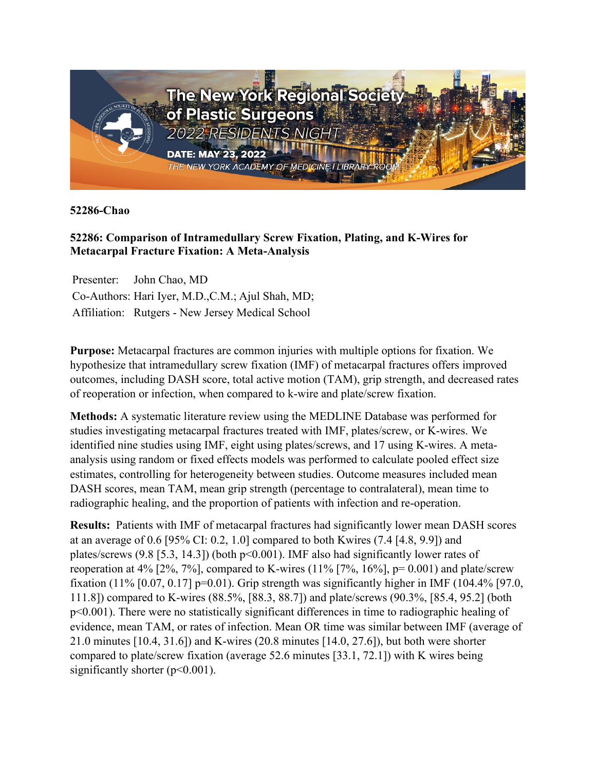

**52286-Chao**

## **52286: Comparison of Intramedullary Screw Fixation, Plating, and K-Wires for Metacarpal Fracture Fixation: A Meta-Analysis**

Presenter: John Chao, MD Co-Authors: Hari Iyer, M.D.,C.M.; Ajul Shah, MD; Affiliation: Rutgers - New Jersey Medical School

**Purpose:** Metacarpal fractures are common injuries with multiple options for fixation. We hypothesize that intramedullary screw fixation (IMF) of metacarpal fractures offers improved outcomes, including DASH score, total active motion (TAM), grip strength, and decreased rates of reoperation or infection, when compared to k-wire and plate/screw fixation.

**Methods:** A systematic literature review using the MEDLINE Database was performed for studies investigating metacarpal fractures treated with IMF, plates/screw, or K-wires. We identified nine studies using IMF, eight using plates/screws, and 17 using K-wires. A metaanalysis using random or fixed effects models was performed to calculate pooled effect size estimates, controlling for heterogeneity between studies. Outcome measures included mean DASH scores, mean TAM, mean grip strength (percentage to contralateral), mean time to radiographic healing, and the proportion of patients with infection and re-operation.

**Results:** Patients with IMF of metacarpal fractures had significantly lower mean DASH scores at an average of 0.6 [95% CI: 0.2, 1.0] compared to both Kwires (7.4 [4.8, 9.9]) and plates/screws  $(9.8 \mid 5.3, 14.3)$  (both  $p<0.001$ ). IMF also had significantly lower rates of reoperation at 4% [2%, 7%], compared to K-wires  $(11\%$  [7%, 16%], p= 0.001) and plate/screw fixation (11%  $[0.07, 0.17]$  p=0.01). Grip strength was significantly higher in IMF (104.4% [97.0, 111.8]) compared to K-wires (88.5%, [88.3, 88.7]) and plate/screws (90.3%, [85.4, 95.2] (both p<0.001). There were no statistically significant differences in time to radiographic healing of evidence, mean TAM, or rates of infection. Mean OR time was similar between IMF (average of 21.0 minutes [10.4, 31.6]) and K-wires (20.8 minutes [14.0, 27.6]), but both were shorter compared to plate/screw fixation (average 52.6 minutes [33.1, 72.1]) with K wires being significantly shorter  $(p<0.001)$ .